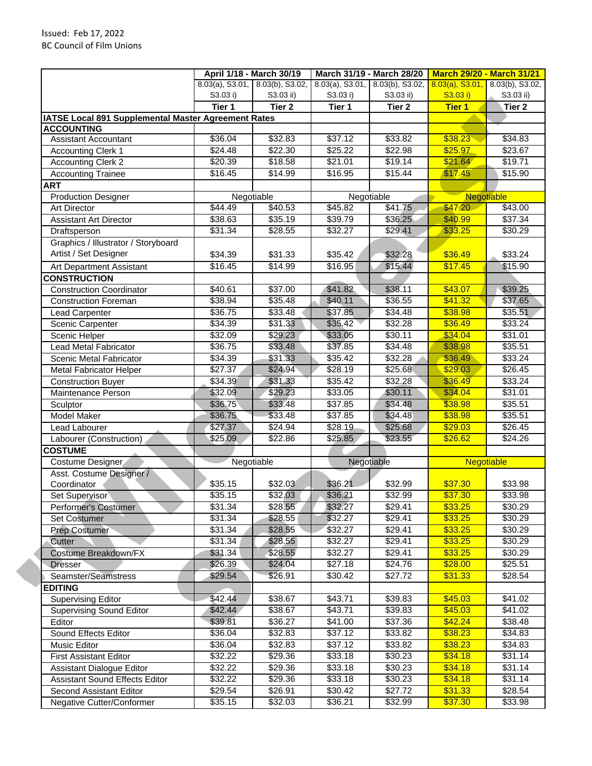| IATSE Local 891 Supplemental Master Agreement Rates<br><b>ACCOUNTING</b><br><b>Assistant Accountant</b> | S3.03 i)<br>Tier 1 | 8.03(a), S3.01, 8.03(b), S3.02,<br>S3.03 ii)<br>Tier 2 | $8.03(a)$ , S3.01,<br>S3.03 i)<br>Tier 1 | 8.03(b), S3.02,<br>S3.03 ii)<br>Tier 2 | $8.03(a)$ , S3.01,<br>S3.03 i)<br><b>Tier 1</b> | 8.03(b), S3.02,<br>S3.03 ii) |  |
|---------------------------------------------------------------------------------------------------------|--------------------|--------------------------------------------------------|------------------------------------------|----------------------------------------|-------------------------------------------------|------------------------------|--|
|                                                                                                         |                    |                                                        |                                          |                                        |                                                 |                              |  |
|                                                                                                         |                    |                                                        |                                          |                                        |                                                 |                              |  |
|                                                                                                         |                    |                                                        |                                          |                                        |                                                 | Tier 2                       |  |
|                                                                                                         |                    |                                                        |                                          |                                        |                                                 |                              |  |
|                                                                                                         |                    |                                                        |                                          |                                        |                                                 |                              |  |
|                                                                                                         | \$36.04            | \$32.83                                                | \$37.12                                  | \$33.82                                | \$38.23                                         | \$34.83                      |  |
| <b>Accounting Clerk 1</b>                                                                               | \$24.48            | \$22.30                                                | \$25.22                                  | \$22.98                                | \$25.97                                         | \$23.67                      |  |
| <b>Accounting Clerk 2</b>                                                                               | \$20.39            | \$18.58                                                | \$21.01                                  | \$19.14                                | \$21.64                                         | \$19.71                      |  |
| <b>Accounting Trainee</b>                                                                               | \$16.45            | \$14.99                                                | \$16.95                                  | \$15.44                                | \$17.45                                         | \$15.90                      |  |
| <b>ART</b>                                                                                              |                    |                                                        |                                          |                                        |                                                 |                              |  |
| <b>Production Designer</b>                                                                              |                    | Negotiable                                             | Negotiable                               |                                        | Negotiable                                      |                              |  |
| <b>Art Director</b>                                                                                     | \$44.49            | \$40.53                                                | \$45.82                                  | \$41.75                                | \$47.20                                         | \$43.00                      |  |
| <b>Assistant Art Director</b>                                                                           | \$38.63            | \$35.19                                                | \$39.79                                  | \$36.25                                | \$40.99                                         | \$37.34                      |  |
| Draftsperson                                                                                            | \$31.34            | \$28.55                                                | \$32.27                                  | \$29.41                                | \$33.25                                         | \$30.29                      |  |
| Graphics / Illustrator / Storyboard                                                                     |                    |                                                        |                                          |                                        |                                                 |                              |  |
| Artist / Set Designer                                                                                   | \$34.39            | \$31.33                                                | \$35.42                                  | \$32.28                                | \$36.49                                         | \$33.24                      |  |
| Art Department Assistant                                                                                | \$16.45            | \$14.99                                                | \$16.95                                  | \$15.44                                | \$17.45                                         | \$15.90                      |  |
| <b>CONSTRUCTION</b>                                                                                     |                    |                                                        |                                          |                                        |                                                 |                              |  |
| <b>Construction Coordinator</b>                                                                         | \$40.61            | \$37.00                                                | \$41.82                                  | \$38.11                                | \$43.07                                         | \$39.25                      |  |
| <b>Construction Foreman</b>                                                                             | \$38.94            | \$35.48                                                | \$40.11                                  | \$36.55                                | \$41.32                                         | \$37.65                      |  |
| <b>Lead Carpenter</b>                                                                                   | \$36.75            | \$33.48                                                | \$37.85                                  | \$34.48                                | \$38.98                                         | \$35.51                      |  |
| Scenic Carpenter                                                                                        | \$34.39            | \$31.33                                                | \$35.42                                  | \$32.28                                | \$36.49                                         | \$33.24                      |  |
| Scenic Helper                                                                                           | \$32.09            | \$29.23                                                | \$33.05                                  | \$30.11                                | \$34.04                                         | \$31.01                      |  |
| Lead Metal Fabricator                                                                                   | \$36.75            | \$33.48                                                | \$37.85                                  | \$34.48                                | \$38.98                                         | \$35.51                      |  |
| Scenic Metal Fabricator                                                                                 | \$34.39            | \$31.33                                                | \$35.42                                  | \$32.28                                | \$36.49                                         | \$33.24                      |  |
| <b>Metal Fabricator Helper</b>                                                                          | \$27.37            | \$24.94                                                | \$28.19                                  | \$25.68                                | \$29.03                                         | \$26.45                      |  |
| <b>Construction Buyer</b>                                                                               | \$34.39            | \$31.33                                                | \$35.42                                  | \$32.28                                | \$36.49                                         | \$33.24                      |  |
| Maintenance Person                                                                                      | \$32.09            | \$29.23                                                | \$33.05                                  | \$30.11                                | \$34.04                                         | \$31.01                      |  |
| Sculptor                                                                                                | \$36.75            | \$33.48                                                | \$37.85                                  | \$34.48                                | \$38.98                                         | \$35.51                      |  |
| <b>Model Maker</b>                                                                                      | \$36.75            | \$33.48                                                | \$37.85                                  | \$34.48                                | \$38.98                                         | \$35.51                      |  |
| Lead Labourer                                                                                           | \$27.37            | \$24.94                                                | \$28.19                                  | \$25.68                                | \$29.03                                         | $\sqrt{$26.45}$              |  |
| Labourer (Construction)                                                                                 | \$25.09            | \$22.86                                                | \$25.85                                  | \$23.55                                | \$26.62                                         | \$24.26                      |  |
| <b>COSTUME</b>                                                                                          |                    |                                                        |                                          |                                        |                                                 |                              |  |
| Costume Designer                                                                                        |                    | Negotiable                                             | Negotiable                               |                                        | <b>Negotiable</b>                               |                              |  |
| Asst. Costume Designer /                                                                                |                    |                                                        |                                          |                                        |                                                 |                              |  |
| Coordinator                                                                                             | \$35.15            | \$32.03                                                | \$36.21                                  | \$32.99                                | \$37.30                                         | \$33.98                      |  |
| Set Supervisor                                                                                          | \$35.15            | \$32.03                                                | \$36.21                                  | 332.99                                 | \$37.30                                         | \$33.98                      |  |
| Performer's Costumer                                                                                    | \$31.34            | \$28.55                                                | \$32.27                                  | \$29.41                                | \$33.25                                         | \$30.29                      |  |
| Set Costumer                                                                                            | \$31.34            | \$28.55                                                | \$32.27                                  | \$29.41                                | \$33.25                                         | \$30.29                      |  |
| <b>Prep Costumer</b>                                                                                    | \$31.34            | \$28.55                                                | \$32.27                                  | \$29.41                                | \$33.25                                         | \$30.29                      |  |
| Cutter                                                                                                  | \$31.34            | \$28.55                                                | \$32.27                                  | \$29.41                                | \$33.25                                         | \$30.29                      |  |
| Costume Breakdown/FX                                                                                    | \$31.34            | \$28.55                                                | \$32.27                                  | \$29.41                                | \$33.25                                         | \$30.29                      |  |
| <b>Dresser</b>                                                                                          | \$26.39            | \$24.04                                                | \$27.18                                  | $\sqrt{$24.76}$                        | \$28.00                                         | \$25.51                      |  |
| Seamster/Seamstress                                                                                     | \$29.54            | \$26.91                                                | \$30.42                                  | \$27.72                                | \$31.33                                         | \$28.54                      |  |
| <b>EDITING</b>                                                                                          |                    |                                                        |                                          |                                        |                                                 |                              |  |
| <b>Supervising Editor</b>                                                                               | \$42.44            | \$38.67                                                | \$43.71                                  | \$39.83                                | \$45.03                                         | \$41.02                      |  |
| <b>Supervising Sound Editor</b>                                                                         | \$42.44            | \$38.67                                                | \$43.71                                  | \$39.83                                | \$45.03                                         | \$41.02                      |  |
| Editor                                                                                                  | \$39.81            | \$36.27                                                | \$41.00                                  | \$37.36                                | \$42.24                                         | \$38.48                      |  |
| Sound Effects Editor                                                                                    | \$36.04            | \$32.83                                                | \$37.12                                  | \$33.82                                | \$38.23                                         | \$34.83                      |  |
| Music Editor                                                                                            | \$36.04            | \$32.83                                                | \$37.12                                  | \$33.82                                | \$38.23                                         | \$34.83                      |  |
| <b>First Assistant Editor</b>                                                                           | \$32.22            | \$29.36                                                | \$33.18                                  | \$30.23                                | \$34.18                                         | \$31.14                      |  |
|                                                                                                         |                    | \$29.36                                                | \$33.18                                  | \$30.23                                | \$34.18                                         | \$31.14                      |  |
|                                                                                                         |                    |                                                        |                                          |                                        |                                                 |                              |  |
| <b>Assistant Dialogue Editor</b>                                                                        | \$32.22            |                                                        |                                          |                                        |                                                 |                              |  |
| <b>Assistant Sound Effects Editor</b><br>Second Assistant Editor                                        | \$32.22<br>\$29.54 | \$29.36<br>\$26.91                                     | \$33.18<br>\$30.42                       | \$30.23<br>\$27.72                     | \$34.18<br>\$31.33                              | \$31.14<br>\$28.54           |  |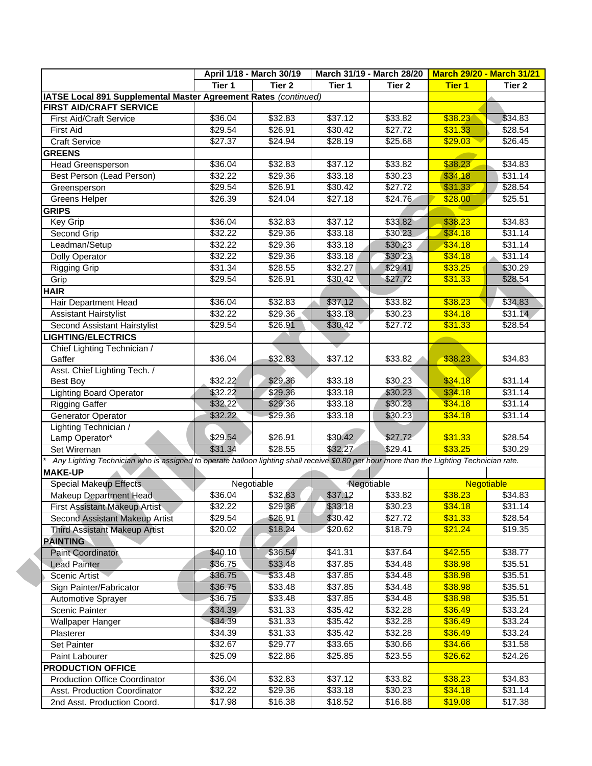|                                                                                                                                           |                    | April 1/18 - March 30/19 |                     | March 31/19 - March 28/20 | <b>March 29/20 - March 31/21</b> |                    |
|-------------------------------------------------------------------------------------------------------------------------------------------|--------------------|--------------------------|---------------------|---------------------------|----------------------------------|--------------------|
|                                                                                                                                           | Tier 1             | Tier 2                   | Tier 1              | Tier 2                    | <b>Tier 1</b>                    | Tier 2             |
| IATSE Local 891 Supplemental Master Agreement Rates (continued)                                                                           |                    |                          |                     |                           |                                  |                    |
| <b>FIRST AID/CRAFT SERVICE</b>                                                                                                            |                    |                          |                     |                           |                                  |                    |
| <b>First Aid/Craft Service</b>                                                                                                            | \$36.04            | \$32.83                  | \$37.12             | \$33.82                   | \$38.23                          | \$34.83            |
| <b>First Aid</b>                                                                                                                          | \$29.54            | \$26.91                  | \$30.42             | \$27.72                   | \$31.33                          | \$28.54            |
| <b>Craft Service</b>                                                                                                                      | \$27.37            | \$24.94                  | \$28.19             | 325.68                    | \$29.03                          | \$26.45            |
| <b>GREENS</b>                                                                                                                             |                    |                          |                     |                           |                                  |                    |
| Head Greensperson                                                                                                                         | \$36.04            | \$32.83                  | \$37.12             | \$33.82                   | \$38.23                          | \$34.83            |
| Best Person (Lead Person)                                                                                                                 | \$32.22            | \$29.36                  | \$33.18             | \$30.23                   | \$34.18                          | \$31.14            |
| Greensperson                                                                                                                              | \$29.54            | \$26.91                  | \$30.42             | \$27.72                   | \$31.33                          | \$28.54            |
| <b>Greens Helper</b>                                                                                                                      | \$26.39            | \$24.04                  | \$27.18             | \$24.76                   | \$28.00                          | \$25.51            |
| <b>GRIPS</b>                                                                                                                              |                    |                          |                     |                           |                                  |                    |
| Key Grip                                                                                                                                  | \$36.04            | \$32.83                  | \$37.12             | \$33.82                   | \$38.23                          | $\sqrt{$34.83}$    |
| Second Grip                                                                                                                               | \$32.22            | \$29.36                  | \$33.18             | \$30.23                   | \$34.18                          | \$31.14            |
| Leadman/Setup                                                                                                                             | \$32.22            | \$29.36                  | \$33.18             | \$30.23                   | \$34.18                          | \$31.14            |
| <b>Dolly Operator</b>                                                                                                                     | \$32.22            | \$29.36                  | \$33.18             | \$30.23                   | \$34.18                          | \$31.14            |
| <b>Rigging Grip</b>                                                                                                                       | \$31.34            | \$28.55                  | \$32.27             | \$29.41                   | \$33.25                          | \$30.29            |
| Grip                                                                                                                                      | \$29.54            | \$26.91                  | \$30.42             | \$27.72                   | \$31.33                          | \$28.54            |
| <b>HAIR</b>                                                                                                                               |                    |                          |                     |                           |                                  |                    |
| Hair Department Head                                                                                                                      | \$36.04            | \$32.83                  | \$37.12             | \$33.82                   | \$38.23                          | \$34.83            |
| Assistant Hairstylist                                                                                                                     | \$32.22            | \$29.36                  | \$33.18             | \$30.23                   | \$34.18                          | \$31.14            |
| Second Assistant Hairstylist                                                                                                              | \$29.54            | \$26.91                  | \$30.42             | \$27.72                   | \$31.33                          | \$28.54            |
| <b>LIGHTING/ELECTRICS</b>                                                                                                                 |                    |                          |                     |                           |                                  |                    |
| Chief Lighting Technician /                                                                                                               |                    |                          |                     |                           |                                  |                    |
| Gaffer                                                                                                                                    | \$36.04            | \$32.83                  | \$37.12             | \$33.82                   | \$38.23                          | \$34.83            |
| Asst. Chief Lighting Tech. /                                                                                                              |                    |                          |                     |                           |                                  |                    |
| <b>Best Boy</b>                                                                                                                           | \$32.22            | \$29.36                  | \$33.18             | \$30.23                   | \$34.18                          | \$31.14            |
| <b>Lighting Board Operator</b>                                                                                                            | \$32.22            | \$29.36                  | \$33.18             | \$30.23                   | \$34.18                          | \$31.14            |
| <b>Rigging Gaffer</b>                                                                                                                     | \$32.22            | \$29.36                  | \$33.18             | \$30.23                   | \$34.18                          | \$31.14            |
| Generator Operator                                                                                                                        | \$32.22            | \$29.36                  | \$33.18             | \$30.23                   | \$34.18                          | \$31.14            |
| Lighting Technician /                                                                                                                     |                    |                          |                     |                           |                                  |                    |
| Lamp Operator*                                                                                                                            | \$29.54            | \$26.91                  | \$30.42             | \$27.72                   | \$31.33                          | \$28.54            |
| Set Wireman                                                                                                                               | \$31.34            | \$28.55                  | \$32.27             | \$29.41                   | \$33.25                          | \$30.29            |
| Any Lighting Technician who is assigned to operate balloon lighting shall receive \$0.80 per hour more than the Lighting Technician rate. |                    |                          |                     |                           |                                  |                    |
| <b>MAKE-UP</b>                                                                                                                            |                    |                          |                     |                           |                                  |                    |
| Special Makeup Effects.                                                                                                                   |                    | Negotiable               | Negotiable          |                           | Negotiable                       |                    |
| <b>Makeup Department Head</b>                                                                                                             | \$36.04            | \$32.83                  | \$37.12             | \$33.82                   | \$38.23                          | \$34.83            |
| <b>First Assistant Makeup Artist</b>                                                                                                      | \$32.22            | \$29.36                  | \$33.18             | \$30.23                   | \$34.18                          | \$31.14            |
| Second Assistant Makeup Artist                                                                                                            | \$29.54            | \$26.91                  | \$30.42             | \$27.72                   | \$31.33                          | \$28.54            |
| <b>Third Assistant Makeup Artist</b>                                                                                                      | \$20.02            | \$18.24                  | \$20.62             | \$18.79                   | \$21.24                          | \$19.35            |
| <b>PAINTING</b>                                                                                                                           |                    |                          |                     |                           |                                  |                    |
| Paint Coordinator                                                                                                                         | \$40.10            | \$36.54                  | \$41.31             | \$37.64                   | \$42.55                          | \$38.77            |
| <b>Lead Painter</b>                                                                                                                       | \$36.75            | \$33.48                  | \$37.85             | \$34.48                   | \$38.98                          | \$35.51            |
| Scenic Artist                                                                                                                             | \$36.75            | \$33.48                  | \$37.85             | \$34.48                   | \$38.98                          | \$35.51            |
| Sign Painter/Fabricator                                                                                                                   | \$36.75            | \$33.48                  | \$37.85             | \$34.48                   | \$38.98                          | \$35.51            |
| Automotive Sprayer                                                                                                                        | \$36.75            | \$33.48                  | \$37.85             | \$34.48                   | \$38.98                          | \$35.51            |
| Scenic Painter                                                                                                                            | \$34.39            | \$31.33                  | \$35.42             | \$32.28                   | \$36.49                          | \$33.24            |
| Wallpaper Hanger                                                                                                                          | \$34.39            | \$31.33                  | \$35.42             | \$32.28                   | \$36.49                          | \$33.24            |
| Plasterer                                                                                                                                 | \$34.39            | \$31.33                  | \$35.42             | \$32.28                   | \$36.49                          | \$33.24            |
| <b>Set Painter</b>                                                                                                                        | \$32.67            | \$29.77                  | $\overline{$}33.65$ | \$30.66                   | \$34.66                          | \$31.58            |
| Paint Labourer                                                                                                                            | \$25.09            | \$22.86                  | \$25.85             | \$23.55                   | \$26.62                          | \$24.26            |
|                                                                                                                                           |                    |                          |                     |                           |                                  |                    |
|                                                                                                                                           |                    |                          |                     |                           |                                  |                    |
| <b>PRODUCTION OFFICE</b>                                                                                                                  |                    |                          |                     |                           |                                  |                    |
| <b>Production Office Coordinator</b><br>Asst. Production Coordinator                                                                      | \$36.04<br>\$32.22 | \$32.83<br>\$29.36       | \$37.12<br>\$33.18  | \$33.82<br>\$30.23        | \$38.23<br>\$34.18               | \$34.83<br>\$31.14 |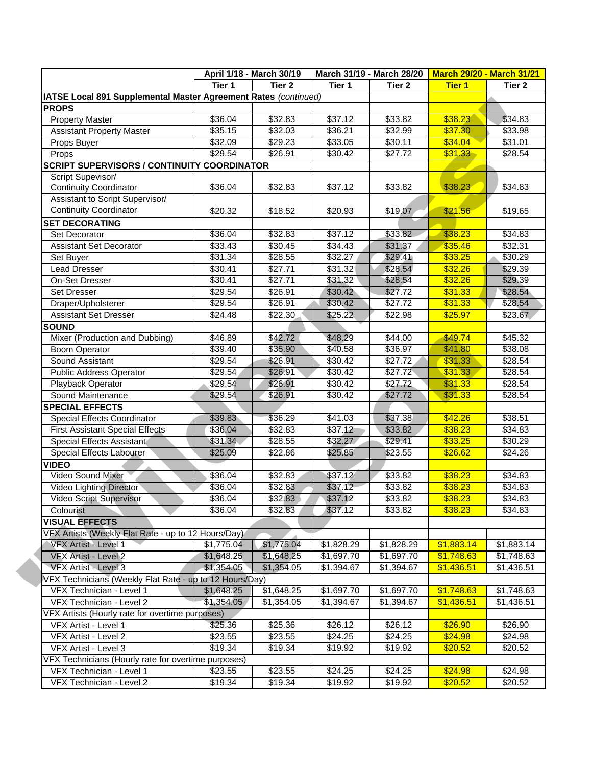|                                                                 |            | April 1/18 - March 30/19 |            | March 31/19 - March 28/20 | <b>March 29/20 - March 31/21</b> |                 |
|-----------------------------------------------------------------|------------|--------------------------|------------|---------------------------|----------------------------------|-----------------|
|                                                                 | Tier 1     | Tier <sub>2</sub>        | Tier 1     | Tier <sub>2</sub>         | <b>Tier 1</b>                    | Tier 2          |
| IATSE Local 891 Supplemental Master Agreement Rates (continued) |            |                          |            |                           |                                  |                 |
| <b>PROPS</b>                                                    |            |                          |            |                           |                                  |                 |
| <b>Property Master</b>                                          | \$36.04    | \$32.83                  | \$37.12    | \$33.82                   | \$38.23                          | \$34.83         |
| <b>Assistant Property Master</b>                                | \$35.15    | \$32.03                  | \$36.21    | \$32.99                   | \$37.30                          | \$33.98         |
| Props Buyer                                                     | \$32.09    | \$29.23                  | \$33.05    | \$30.11                   | \$34.04                          | \$31.01         |
| Props                                                           | \$29.54    | \$26.91                  | \$30.42    | \$27.72                   | \$31.33                          | $\sqrt{$28.54}$ |
| <b>SCRIPT SUPERVISORS / CONTINUITY COORDINATOR</b>              |            |                          |            |                           |                                  |                 |
| Script Supevisor/                                               |            |                          |            |                           |                                  |                 |
| <b>Continuity Coordinator</b>                                   | \$36.04    | \$32.83                  | \$37.12    | \$33.82                   | \$38.23                          | \$34.83         |
| Assistant to Script Supervisor/                                 |            |                          |            |                           |                                  |                 |
| <b>Continuity Coordinator</b>                                   | \$20.32    | \$18.52                  | \$20.93    | \$19.07                   | \$21.56                          | \$19.65         |
| <b>SET DECORATING</b>                                           |            |                          |            |                           |                                  |                 |
| Set Decorator                                                   | \$36.04    | \$32.83                  | \$37.12    | \$33.82                   | \$38.23                          | \$34.83         |
| <b>Assistant Set Decorator</b>                                  | \$33.43    | \$30.45                  | \$34.43    | \$31.37                   | \$35.46                          | \$32.31         |
| Set Buyer                                                       | \$31.34    | \$28.55                  | \$32.27    | \$29.41                   | \$33.25                          | \$30.29         |
| <b>Lead Dresser</b>                                             | \$30.41    | \$27.71                  | \$31.32    | \$28.54                   | \$32.26                          | \$29.39         |
| On-Set Dresser                                                  | \$30.41    | \$27.71                  | \$31.32    | \$28.54                   | \$32.26                          | \$29.39         |
| Set Dresser                                                     | \$29.54    | \$26.91                  | \$30.42    | \$27.72                   | \$31.33                          | \$28.54         |
| Draper/Upholsterer                                              | \$29.54    | \$26.91                  | \$30,42    | \$27.72                   | \$31.33                          | \$28.54         |
| <b>Assistant Set Dresser</b>                                    | \$24.48    | \$22.30                  | \$25.22    | \$22.98                   | \$25.97                          | \$23.67         |
| <b>SOUND</b>                                                    |            |                          |            |                           |                                  |                 |
| Mixer (Production and Dubbing)                                  | \$46.89    | \$42.72                  | \$48.29    | \$44.00                   | \$49.74                          | \$45.32         |
| <b>Boom Operator</b>                                            | \$39.40    | \$35.90                  | \$40.58    | \$36.97                   | \$41.80                          | \$38.08         |
| Sound Assistant                                                 | \$29.54    | \$26.91                  | \$30.42    | \$27.72                   | \$31.33                          | \$28.54         |
| <b>Public Address Operator</b>                                  | \$29.54    | \$26.91                  | \$30.42    | \$27.72                   | \$31.33                          | \$28.54         |
| Playback Operator                                               | \$29.54    | \$26.91                  | \$30.42    | \$27.72                   | \$31.33                          | \$28.54         |
| Sound Maintenance                                               | \$29.54    | \$26.91                  | \$30.42    | \$27.72                   | \$31.33                          | \$28.54         |
| <b>SPECIAL EFFECTS</b>                                          |            |                          |            |                           |                                  |                 |
| Special Effects Coordinator                                     | \$39.83    | \$36.29                  | \$41.03    | \$37.38                   | \$42.26                          | \$38.51         |
| <b>First Assistant Special Effects</b>                          | \$36.04    | \$32.83                  | \$37.12    | \$33.82                   | \$38.23                          | \$34.83         |
| Special Effects Assistant                                       | \$31.34    | \$28.55                  | \$32.27    | \$29.41                   | \$33.25                          | \$30.29         |
| Special Effects Labourer                                        | \$25.09    | \$22.86                  | \$25.85    | \$23.55                   | \$26.62                          | \$24.26         |
| <b>VIDEO</b>                                                    |            |                          |            |                           |                                  |                 |
| Video Sound Mixer                                               | \$36.04    | \$32.83                  | \$37.12    | \$33.82                   | \$38.23                          | \$34.83         |
| Video Lighting Director                                         | \$36.04    | \$32.83                  | \$37.12    | \$33.82                   | \$38.23                          | \$34.83         |
| Video Script Supervisor                                         | \$36.04    | \$32.83                  | \$37.12    | \$33.82                   | \$38.23                          | \$34.83         |
| Colourist                                                       | \$36.04    | \$32.83                  | \$37.12    | \$33.82                   | \$38.23                          | \$34.83         |
| <b>VISUAL EFFECTS</b>                                           |            |                          |            |                           |                                  |                 |
| VFX Artists (Weekly Flat Rate - up to 12 Hours/Day)             |            |                          |            |                           |                                  |                 |
| <b>VFX Artist - Level 1</b>                                     | \$1,775.04 | \$1,775.04               | \$1,828.29 | \$1,828.29                | \$1,883.14                       | \$1,883.14      |
| VFX Artist - Level 2                                            | \$1,648.25 | \$1,648.25               | \$1,697.70 | \$1,697.70                | \$1,748.63                       | \$1,748.63      |
| VFX Artist - Level 3                                            | \$1,354.05 | \$1,354.05               | \$1,394.67 | \$1,394.67                | \$1,436.51                       | \$1,436.51      |
| VFX Technicians (Weekly Flat Rate - up to 12 Hours/Day)         |            |                          |            |                           |                                  |                 |
| VFX Technician - Level 1                                        | \$1,648.25 | \$1,648.25               | \$1,697.70 | \$1,697.70                | \$1,748.63                       | \$1,748.63      |
| VFX Technician - Level 2                                        | \$1,354.05 | \$1,354.05               | \$1,394.67 | \$1,394.67                | \$1,436.51                       | \$1,436.51      |
| VFX Artists (Hourly rate for overtime purposes)                 |            |                          |            |                           |                                  |                 |
| VFX Artist - Level 1                                            | \$25.36    | \$25.36                  | \$26.12    | \$26.12                   | \$26.90                          | \$26.90         |
| VFX Artist - Level 2                                            | \$23.55    | \$23.55                  | \$24.25    | \$24.25                   | \$24.98                          | \$24.98         |
|                                                                 | \$19.34    | \$19.34                  | \$19.92    | \$19.92                   |                                  | \$20.52         |
| VFX Artist - Level 3                                            |            |                          |            |                           | \$20.52                          |                 |
| VFX Technicians (Hourly rate for overtime purposes)             | \$23.55    | \$23.55                  | \$24.25    | \$24.25                   | \$24.98                          | \$24.98         |
| VFX Technician - Level 1                                        |            |                          |            |                           | \$20.52                          | \$20.52         |
| VFX Technician - Level 2                                        | \$19.34    | \$19.34                  | \$19.92    | \$19.92                   |                                  |                 |